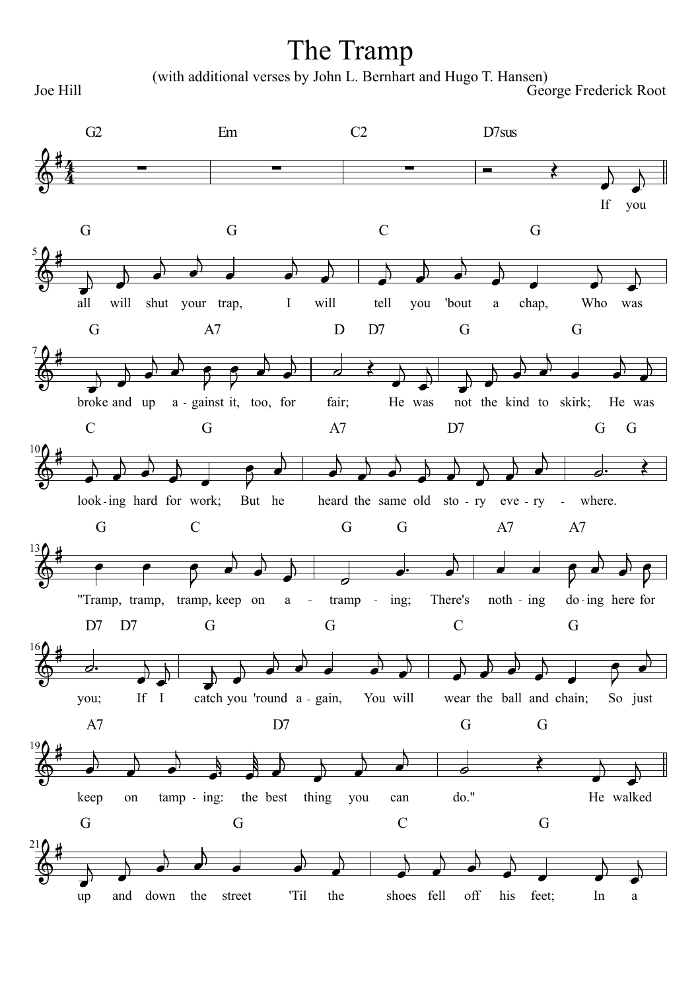The Tramp

(with additional verses by John L. Bernhart and Hugo T. Hansen)

George Frederick Root



Joe Hill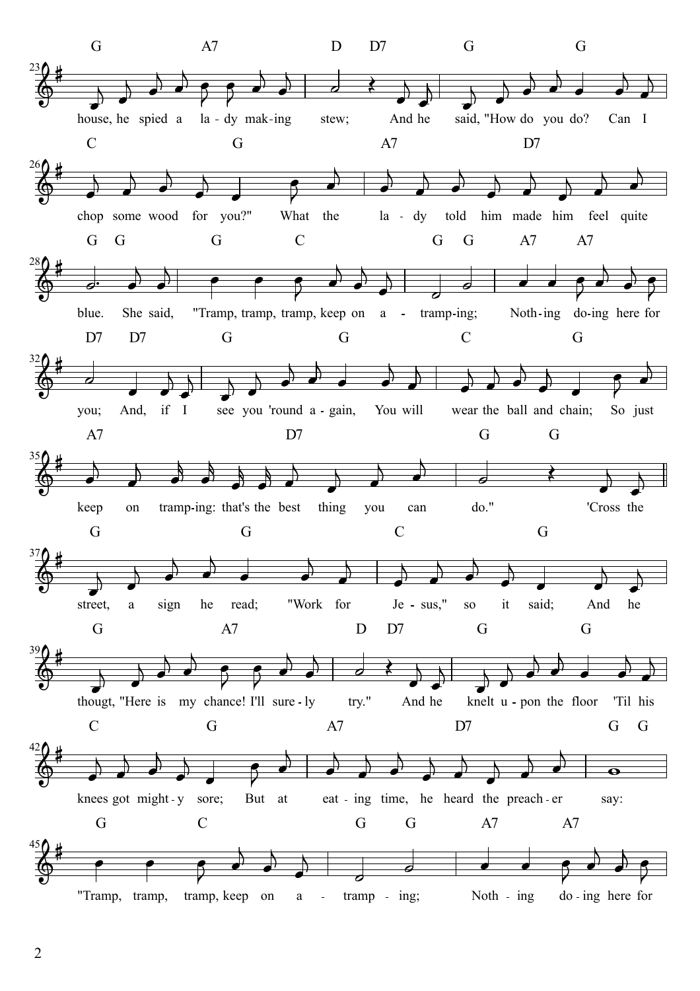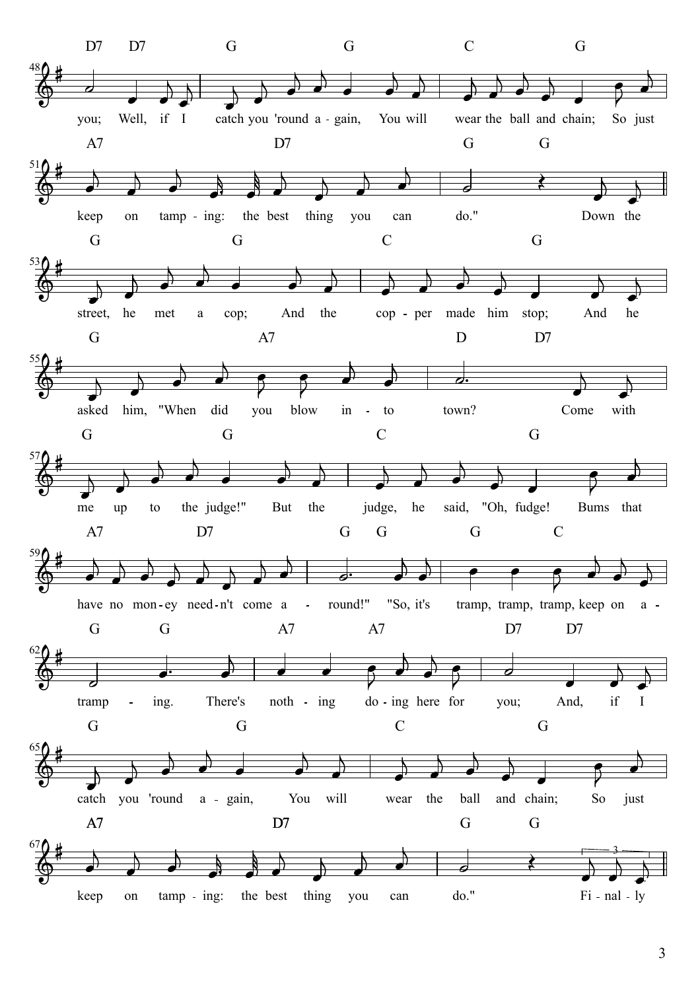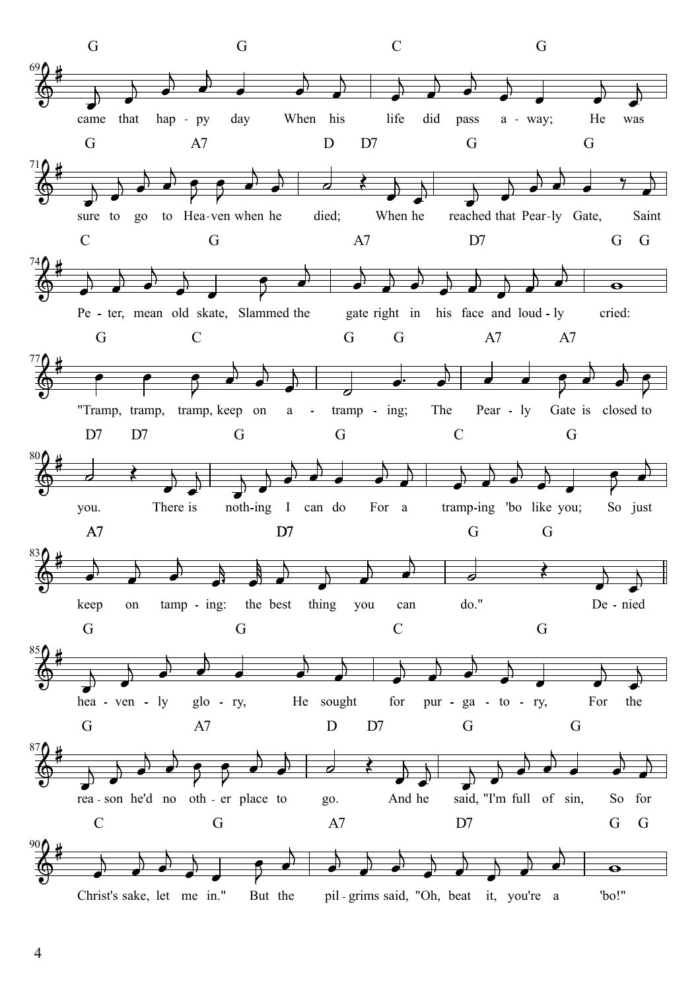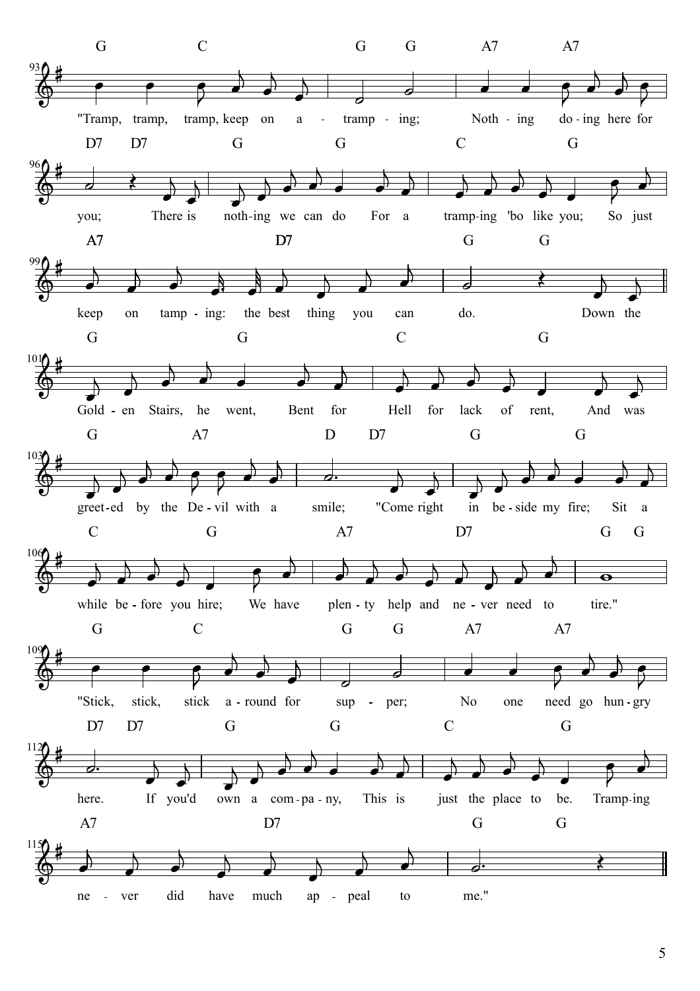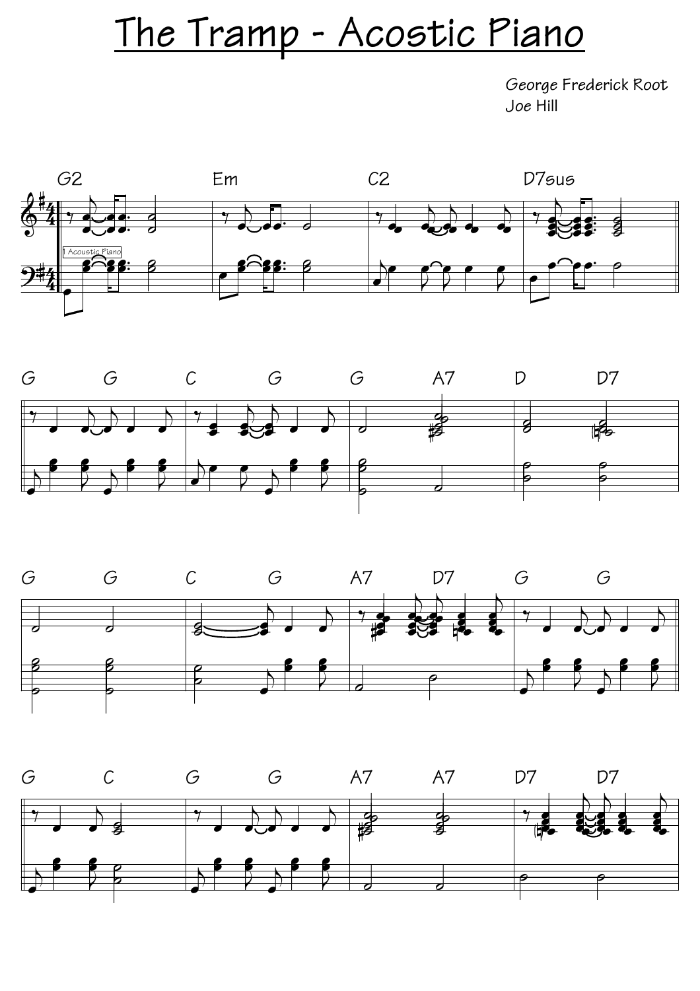## The Tramp - Acostic Piano

George Frederick Root Joe Hill







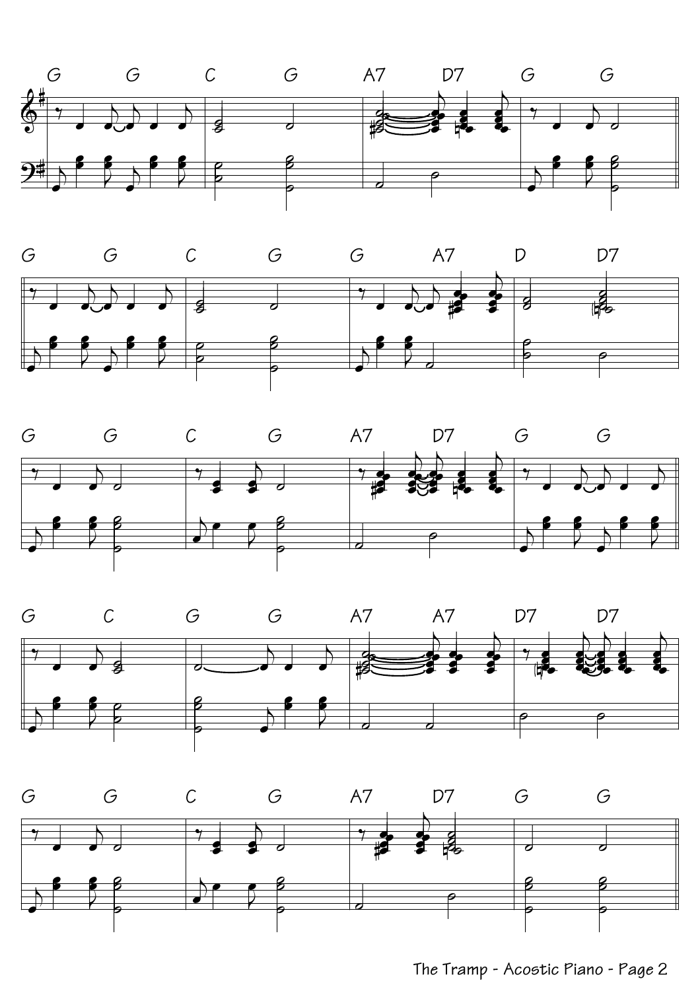







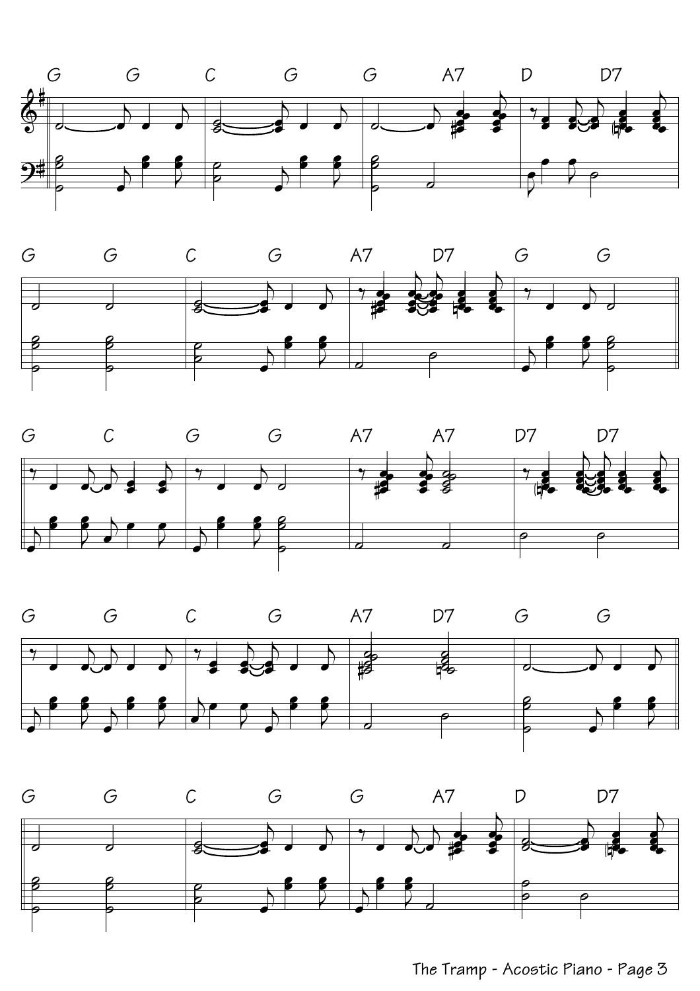









The Tramp - Acostic Piano - Page 3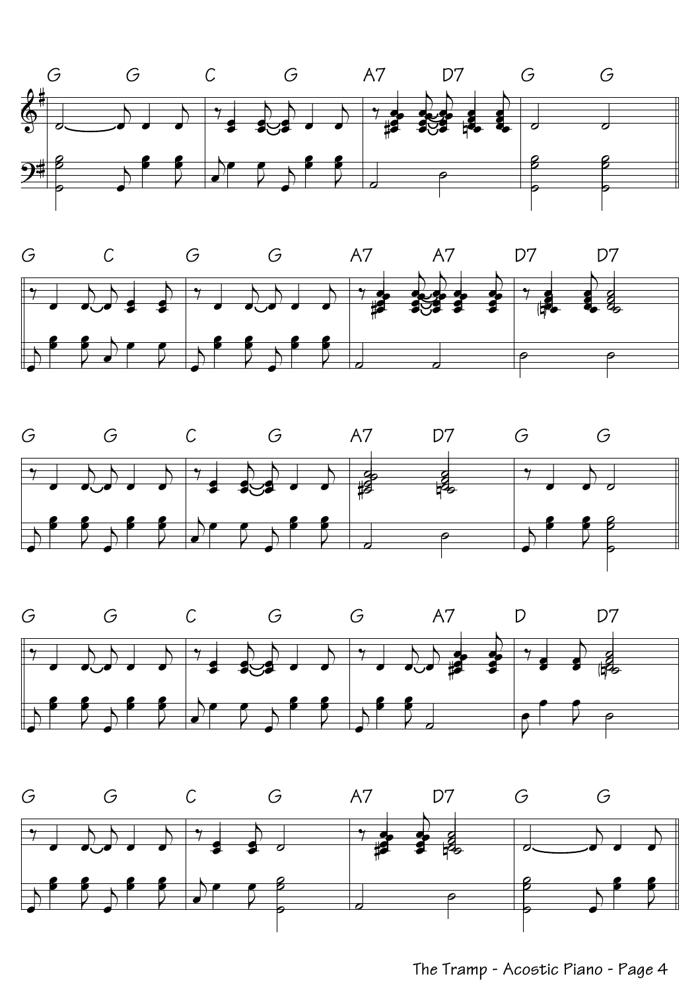









The Tramp - Acostic Piano - Page 4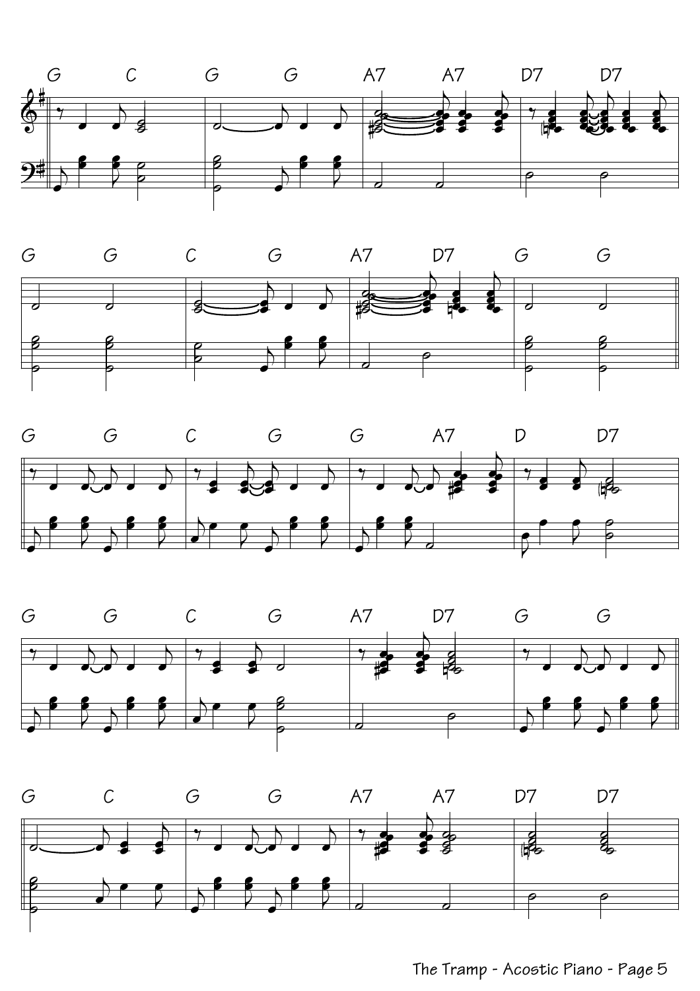









The Tramp - Acostic Piano - Page 5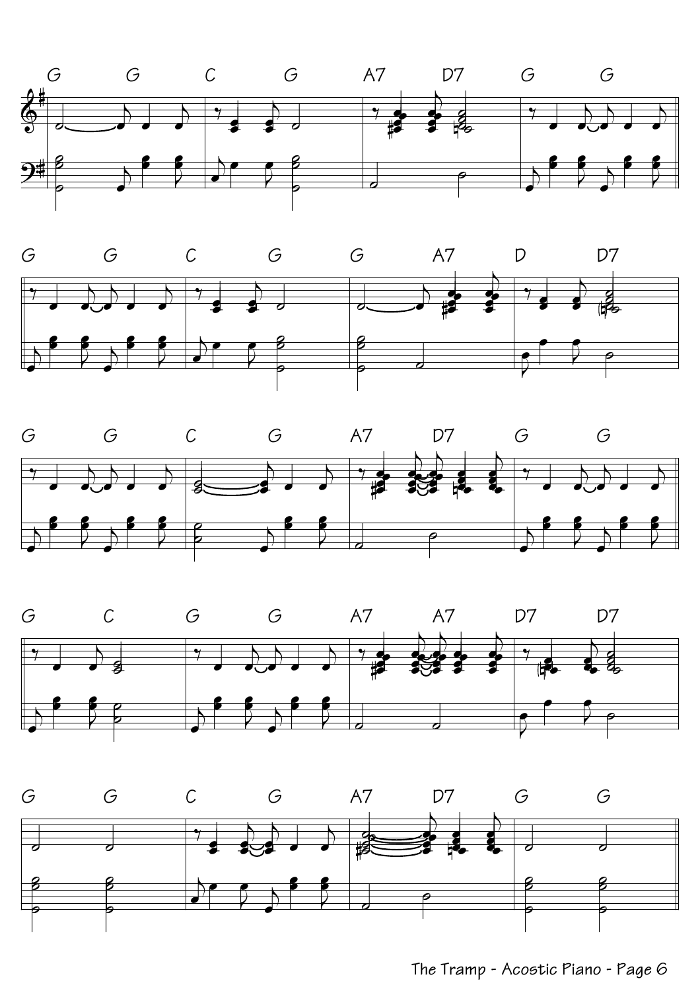







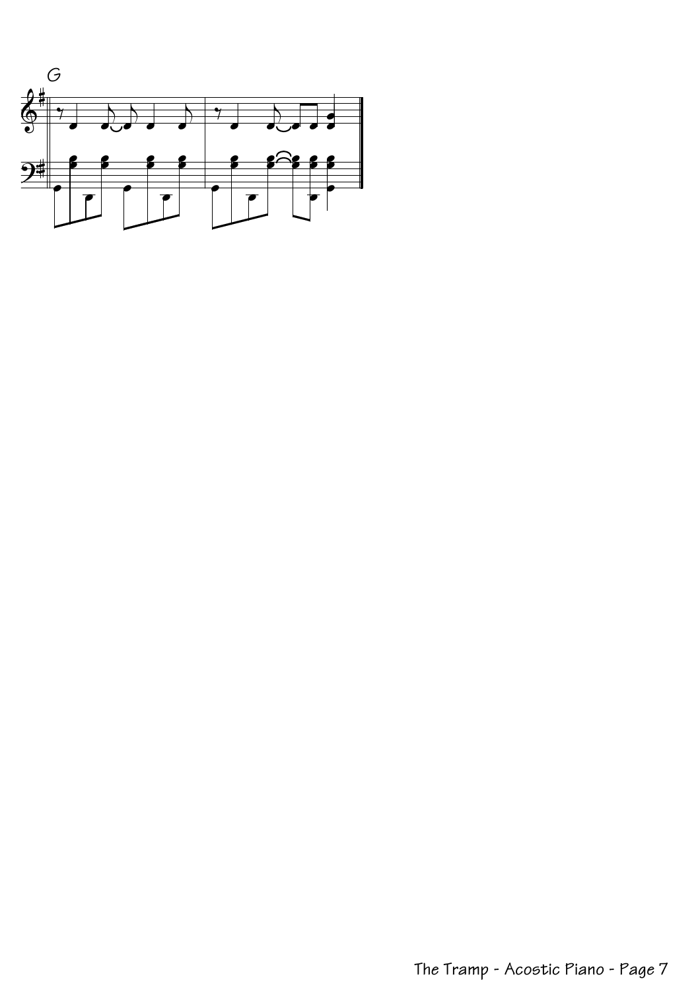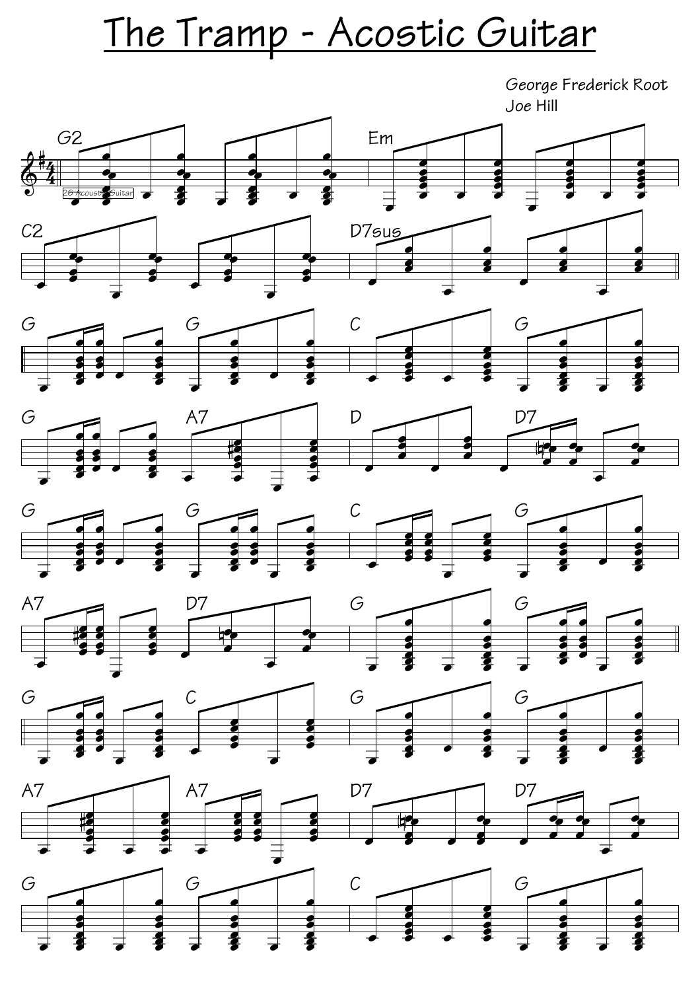## The Tramp - Acostic Guitar

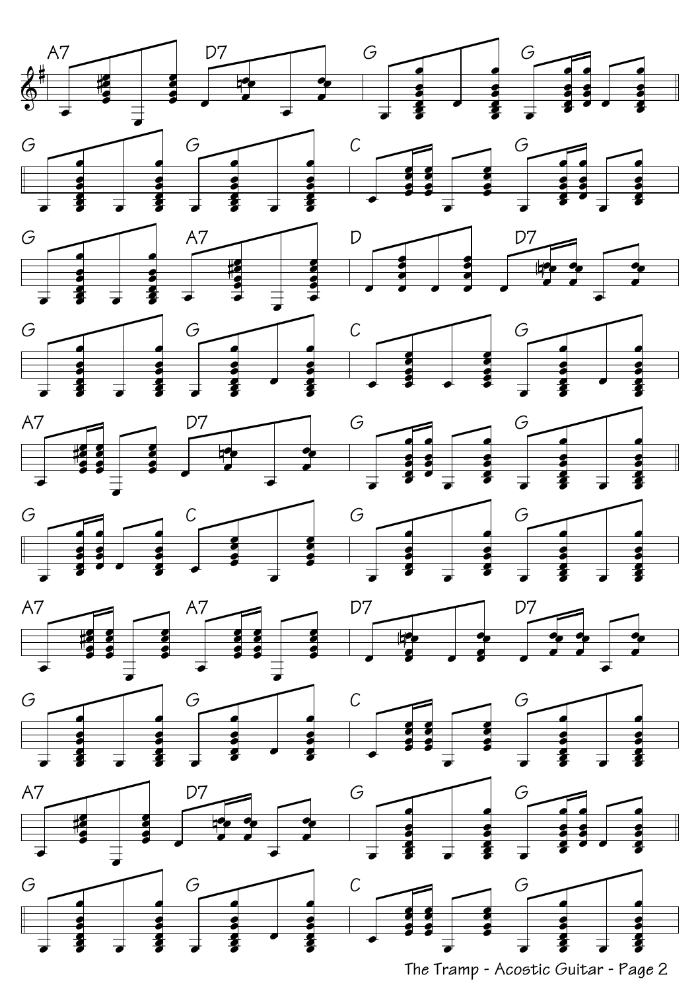

















The Tramp - Acostic Guitar - Page 2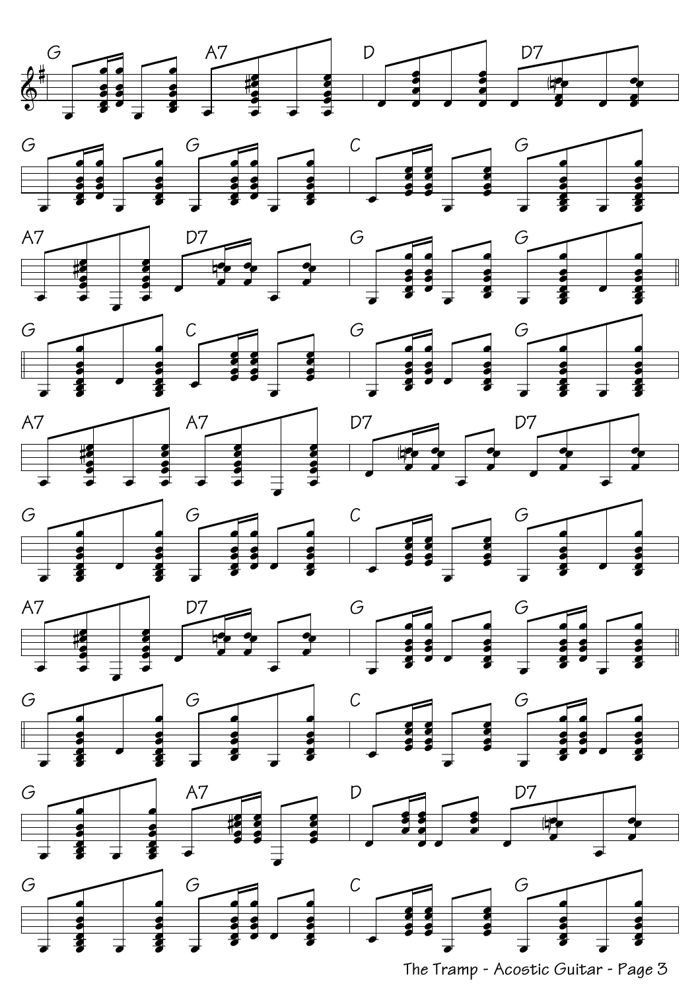



















The Tramp - Acostic Guitar - Page 3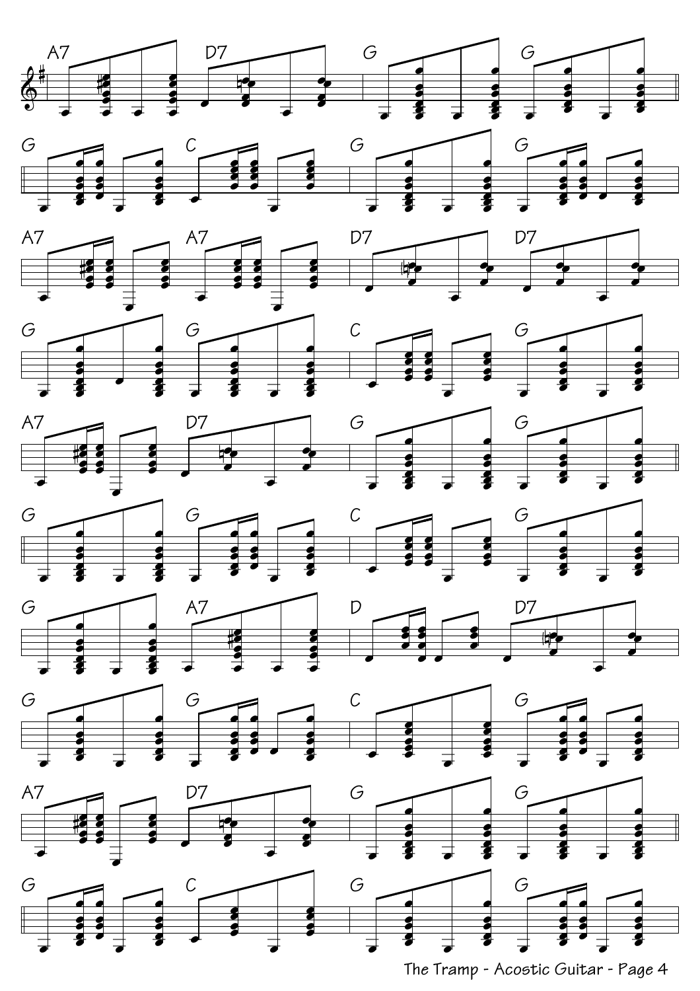

















 $\exists$ Ð

 $\overline{\phantom{a}}$ J<br>J

 $\frac{1}{\sqrt{2}}$ Ð

 $\exists$ Ð

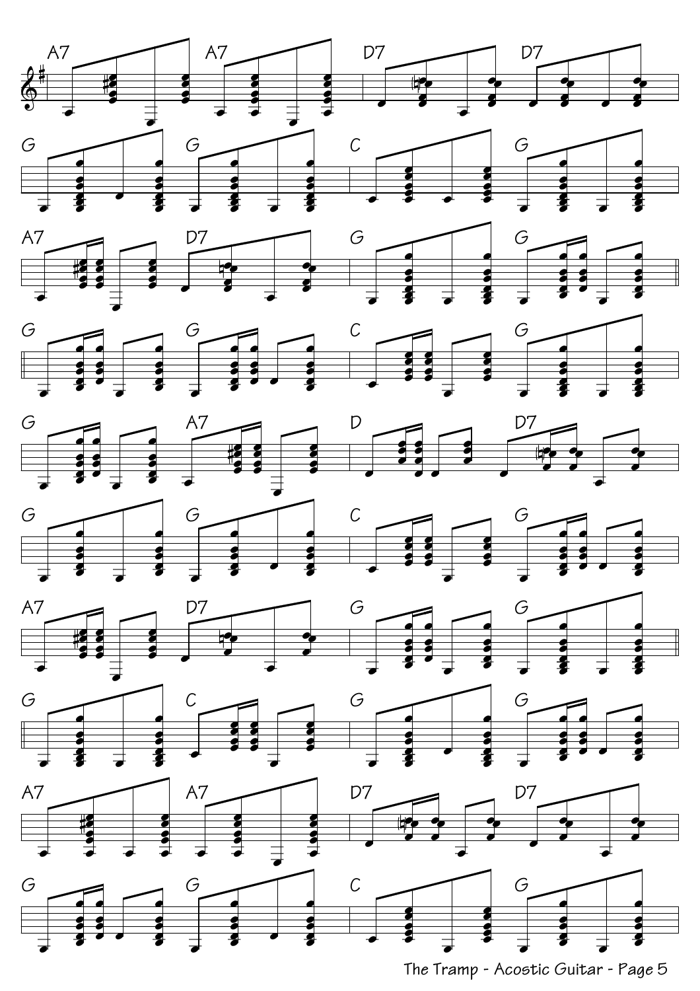















 $\frac{1}{\sqrt{2}}$ Ð

Ð

Ð

Ð

Ð

The Tramp - Acostic Guitar - Page 5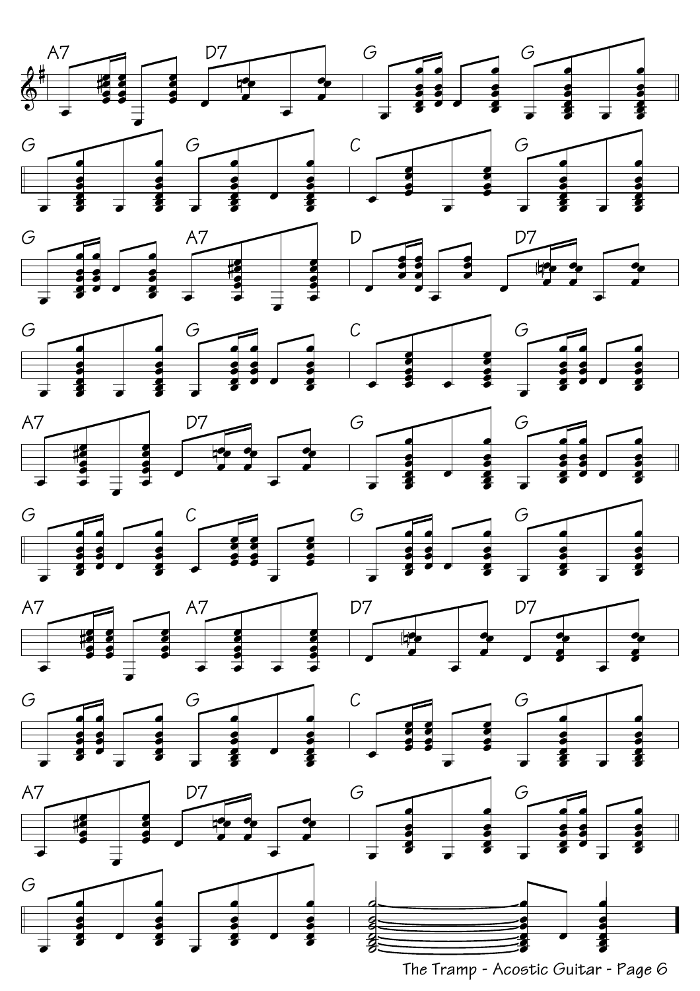















The Tramp - Acostic Guitar - Page 6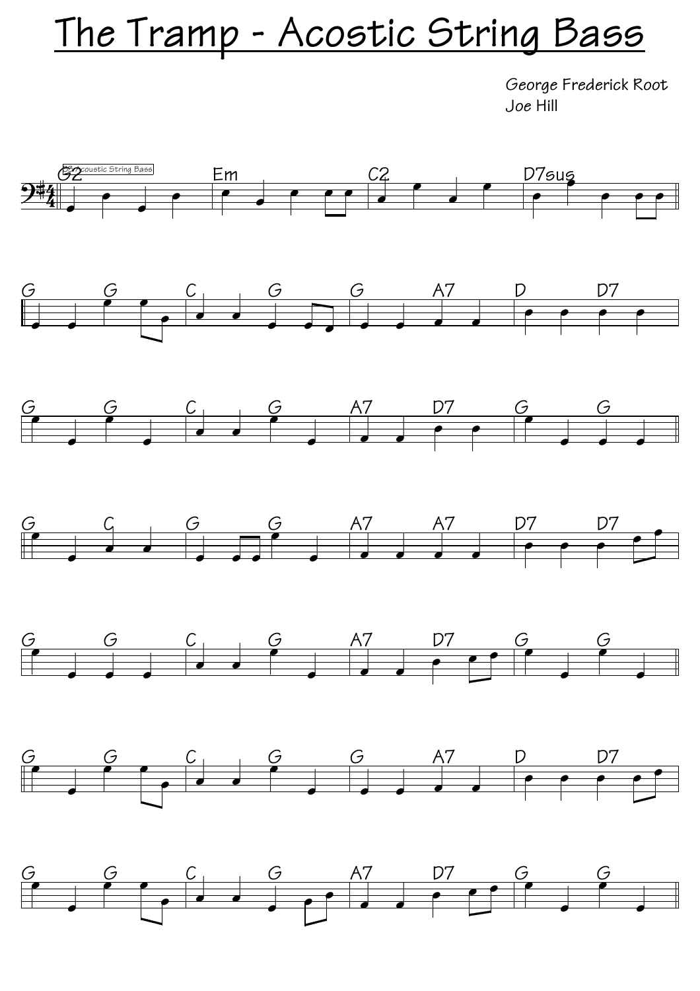## The Tramp - Acostic String Bass

George Frederick Root Joe Hill

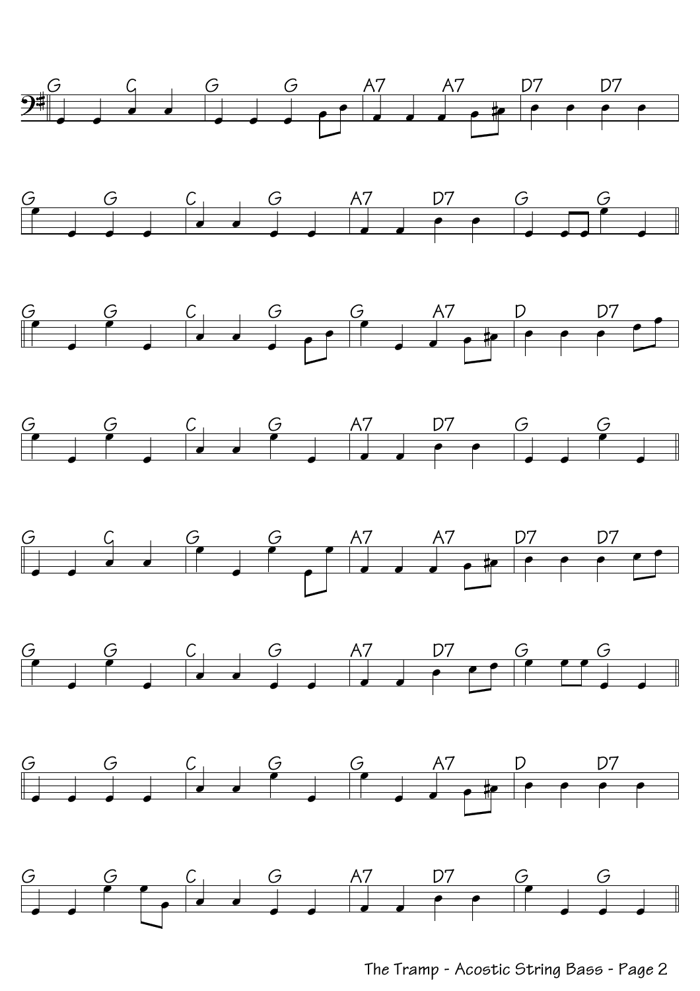















The Tramp - Acostic String Bass - Page 2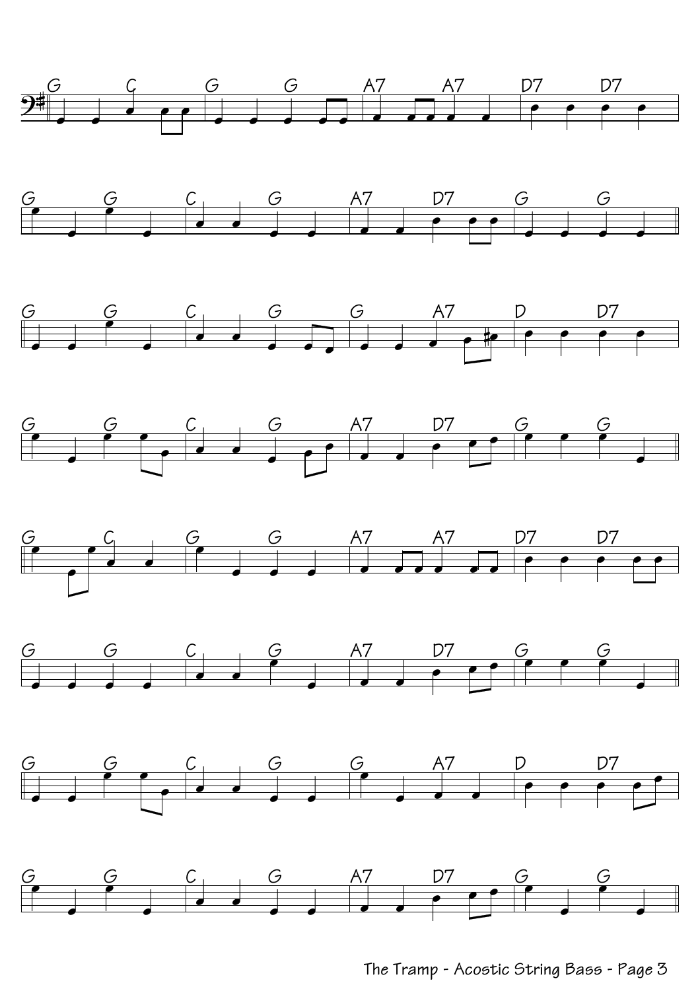















The Tramp - Acostic String Bass - Page 3